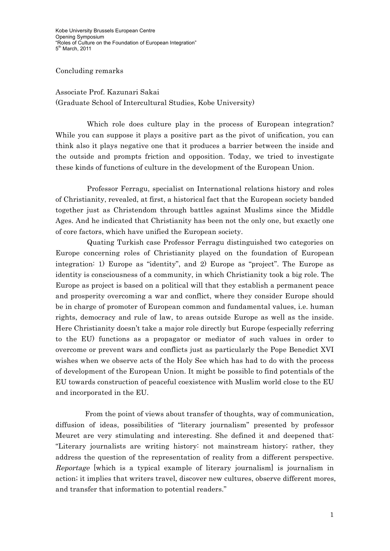Kobe University Brussels European Centre Opening Symposium "Roles of Culture on the Foundation of European Integration" 5<sup>th</sup> March, 2011

## Concluding remarks

Associate Prof. Kazunari Sakai (Graduate School of Intercultural Studies, Kobe University)

Which role does culture play in the process of European integration? While you can suppose it plays a positive part as the pivot of unification, you can think also it plays negative one that it produces a barrier between the inside and the outside and prompts friction and opposition. Today, we tried to investigate these kinds of functions of culture in the development of the European Union.

Professor Ferragu, specialist on International relations history and roles of Christianity, revealed, at first, a historical fact that the European society banded together just as Christendom through battles against Muslims since the Middle Ages. And he indicated that Christianity has been not the only one, but exactly one of core factors, which have unified the European society.

Quating Turkish case Professor Ferragu distinguished two categories on Europe concerning roles of Christianity played on the foundation of European integration: 1) Europe as "identity", and 2) Europe as "project". The Europe as identity is consciousness of a community, in which Christianity took a big role. The Europe as project is based on a political will that they establish a permanent peace and prosperity overcoming a war and conflict, where they consider Europe should be in charge of promoter of European common and fundamental values, i.e. human rights, democracy and rule of law, to areas outside Europe as well as the inside. Here Christianity doesn't take a major role directly but Europe (especially referring to the EU) functions as a propagator or mediator of such values in order to overcome or prevent wars and conflicts just as particularly the Pope Benedict XVI wishes when we observe acts of the Holy See which has had to do with the process of development of the European Union. It might be possible to find potentials of the EU towards construction of peaceful coexistence with Muslim world close to the EU and incorporated in the EU.

From the point of views about transfer of thoughts, way of communication, diffusion of ideas, possibilities of "literary journalism" presented by professor Meuret are very stimulating and interesting. She defined it and deepened that: "Literary journalists are writing history: not mainstream history; rather, they address the question of the representation of reality from a different perspective. Reportage [which is a typical example of literary journalism] is journalism in action; it implies that writers travel, discover new cultures, observe different mores, and transfer that information to potential readers."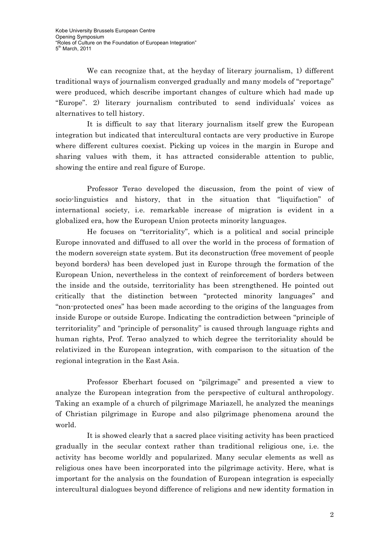We can recognize that, at the heyday of literary journalism, 1) different traditional ways of journalism converged gradually and many models of "reportage" were produced, which describe important changes of culture which had made up "Europe". 2) literary journalism contributed to send individuals' voices as alternatives to tell history.

It is difficult to say that literary journalism itself grew the European integration but indicated that intercultural contacts are very productive in Europe where different cultures coexist. Picking up voices in the margin in Europe and sharing values with them, it has attracted considerable attention to public, showing the entire and real figure of Europe.

Professor Terao developed the discussion, from the point of view of socio-linguistics and history, that in the situation that "liquifaction" of international society, i.e. remarkable increase of migration is evident in a globalized era, how the European Union protects minority languages.

He focuses on "territoriality", which is a political and social principle Europe innovated and diffused to all over the world in the process of formation of the modern sovereign state system. But its deconstruction (free movement of people beyond borders) has been developed just in Europe through the formation of the European Union, nevertheless in the context of reinforcement of borders between the inside and the outside, territoriality has been strengthened. He pointed out critically that the distinction between "protected minority languages" and "non-protected ones" has been made according to the origins of the languages from inside Europe or outside Europe. Indicating the contradiction between "principle of territoriality" and "principle of personality" is caused through language rights and human rights, Prof. Terao analyzed to which degree the territoriality should be relativized in the European integration, with comparison to the situation of the regional integration in the East Asia.

Professor Eberhart focused on "pilgrimage" and presented a view to analyze the European integration from the perspective of cultural anthropology. Taking an example of a church of pilgrimage Mariazell, he analyzed the meanings of Christian pilgrimage in Europe and also pilgrimage phenomena around the world.

It is showed clearly that a sacred place visiting activity has been practiced gradually in the secular context rather than traditional religious one, i.e. the activity has become worldly and popularized. Many secular elements as well as religious ones have been incorporated into the pilgrimage activity. Here, what is important for the analysis on the foundation of European integration is especially intercultural dialogues beyond difference of religions and new identity formation in